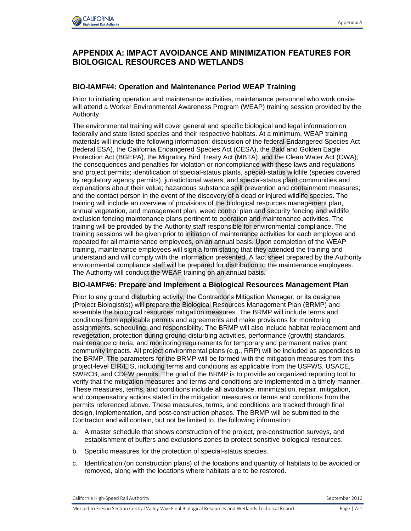

# **APPENDIX A: IMPACT AVOIDANCE AND MINIMIZATION FEATURES FOR BIOLOGICAL RESOURCES AND WETLANDS**

#### **BIO-IAMF#4: Operation and Maintenance Period WEAP Training**

Prior to initiating operation and maintenance activities, maintenance personnel who work onsite will attend a Worker Environmental Awareness Program (WEAP) training session provided by the Authority.

The environmental training will cover general and specific biological and legal information on federally and state listed species and their respective habitats. At a minimum, WEAP training materials will include the following information: discussion of the federal Endangered Species Act (federal ESA), the California Endangered Species Act (CESA), the Bald and Golden Eagle Protection Act (BGEPA), the Migratory Bird Treaty Act (MBTA), and the Clean Water Act (CWA); the consequences and penalties for violation or noncompliance with these laws and regulations and project permits; identification of special-status plants, special-status wildlife (species covered by regulatory agency permits), jurisdictional waters, and special-status plant communities and explanations about their value; hazardous substance spill prevention and containment measures; and the contact person in the event of the discovery of a dead or injured wildlife species. The training will include an overview of provisions of the biological resources management plan, annual vegetation, and management plan, weed control plan and security fencing and wildlife exclusion fencing maintenance plans pertinent to operation and maintenance activities. The training will be provided by the Authority staff responsible for environmental compliance. The training sessions will be given prior to initiation of maintenance activities for each employee and repeated for all maintenance employees, on an annual basis. Upon completion of the WEAP training, maintenance employees will sign a form stating that they attended the training and understand and will comply with the information presented. A fact sheet prepared by the Authority environmental compliance staff will be prepared for distribution to the maintenance employees. The Authority will conduct the WEAP training on an annual basis.

#### **BIO-IAMF#6: Prepare and Implement a Biological Resources Management Plan**

Prior to any ground disturbing activity, the Contractor's Mitigation Manager, or its designee (Project Biologist(s)) will prepare the Biological Resources Management Plan (BRMP) and assemble the biological resources mitigation measures. The BRMP will include terms and conditions from applicable permits and agreements and make provisions for monitoring assignments, scheduling, and responsibility. The BRMP will also include habitat replacement and revegetation, protection during ground-disturbing activities, performance (growth) standards, maintenance criteria, and monitoring requirements for temporary and permanent native plant community impacts. All project environmental plans (e.g., RRP) will be included as appendices to the BRMP. The parameters for the BRMP will be formed with the mitigation measures from this project-level EIR/EIS, including terms and conditions as applicable from the USFWS, USACE, SWRCB, and CDFW permits. The goal of the BRMP is to provide an organized reporting tool to verify that the mitigation measures and terms and conditions are implemented in a timely manner. These measures, terms, and conditions include all avoidance, minimization, repair, mitigation, and compensatory actions stated in the mitigation measures or terms and conditions from the permits referenced above. These measures, terms, and conditions are tracked through final design, implementation, and post-construction phases. The BRMP will be submitted to the Contractor and will contain, but not be limited to, the following information:

- a. A master schedule that shows construction of the project, pre-construction surveys, and establishment of buffers and exclusions zones to protect sensitive biological resources.
- b. Specific measures for the protection of special-status species.
- c. Identification (on construction plans) of the locations and quantity of habitats to be avoided or removed, along with the locations where habitats are to be restored.

California High-Speed Rail Authority September 2016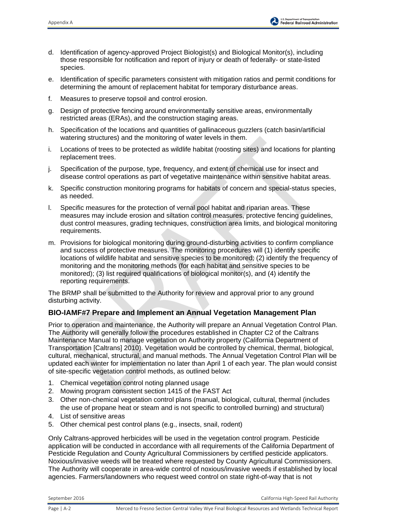

- d. Identification of agency-approved Project Biologist(s) and Biological Monitor(s), including those responsible for notification and report of injury or death of federally- or state-listed species.
- e. Identification of specific parameters consistent with mitigation ratios and permit conditions for determining the amount of replacement habitat for temporary disturbance areas.
- f. Measures to preserve topsoil and control erosion.
- g. Design of protective fencing around environmentally sensitive areas, environmentally restricted areas (ERAs), and the construction staging areas.
- h. Specification of the locations and quantities of gallinaceous guzzlers (catch basin/artificial watering structures) and the monitoring of water levels in them.
- i. Locations of trees to be protected as wildlife habitat (roosting sites) and locations for planting replacement trees.
- j. Specification of the purpose, type, frequency, and extent of chemical use for insect and disease control operations as part of vegetative maintenance within sensitive habitat areas.
- k. Specific construction monitoring programs for habitats of concern and special-status species, as needed.
- l. Specific measures for the protection of vernal pool habitat and riparian areas. These measures may include erosion and siltation control measures, protective fencing guidelines, dust control measures, grading techniques, construction area limits, and biological monitoring requirements.
- m. Provisions for biological monitoring during ground-disturbing activities to confirm compliance and success of protective measures. The monitoring procedures will (1) identify specific locations of wildlife habitat and sensitive species to be monitored; (2) identify the frequency of monitoring and the monitoring methods (for each habitat and sensitive species to be monitored); (3) list required qualifications of biological monitor(s), and (4) identify the reporting requirements.

The BRMP shall be submitted to the Authority for review and approval prior to any ground disturbing activity.

## **BIO-IAMF#7 Prepare and Implement an Annual Vegetation Management Plan**

Prior to operation and maintenance, the Authority will prepare an Annual Vegetation Control Plan. The Authority will generally follow the procedures established in Chapter C2 of the Caltrans Maintenance Manual to manage vegetation on Authority property (California Department of Transportation [Caltrans] 2010). Vegetation would be controlled by chemical, thermal, biological, cultural, mechanical, structural, and manual methods. The Annual Vegetation Control Plan will be updated each winter for implementation no later than April 1 of each year. The plan would consist of site-specific vegetation control methods, as outlined below:

- 1. Chemical vegetation control noting planned usage
- 2. Mowing program consistent section 1415 of the FAST Act
- 3. Other non-chemical vegetation control plans (manual, biological, cultural, thermal (includes the use of propane heat or steam and is not specific to controlled burning) and structural)
- 4. List of sensitive areas
- 5. Other chemical pest control plans (e.g., insects, snail, rodent)

Only Caltrans-approved herbicides will be used in the vegetation control program. Pesticide application will be conducted in accordance with all requirements of the California Department of Pesticide Regulation and County Agricultural Commissioners by certified pesticide applicators. Noxious/invasive weeds will be treated where requested by County Agricultural Commissioners. The Authority will cooperate in area-wide control of noxious/invasive weeds if established by local agencies. Farmers/landowners who request weed control on state right-of-way that is not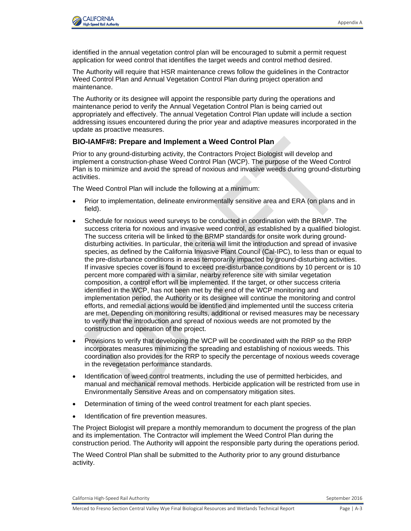

identified in the annual vegetation control plan will be encouraged to submit a permit request application for weed control that identifies the target weeds and control method desired.

The Authority will require that HSR maintenance crews follow the guidelines in the Contractor Weed Control Plan and Annual Vegetation Control Plan during project operation and maintenance.

The Authority or its designee will appoint the responsible party during the operations and maintenance period to verify the Annual Vegetation Control Plan is being carried out appropriately and effectively. The annual Vegetation Control Plan update will include a section addressing issues encountered during the prior year and adaptive measures incorporated in the update as proactive measures.

#### **BIO-IAMF#8: Prepare and Implement a Weed Control Plan**

Prior to any ground-disturbing activity, the Contractors Project Biologist will develop and implement a construction-phase Weed Control Plan (WCP). The purpose of the Weed Control Plan is to minimize and avoid the spread of noxious and invasive weeds during ground-disturbing activities.

The Weed Control Plan will include the following at a minimum:

- Prior to implementation, delineate environmentally sensitive area and ERA (on plans and in field).
- Schedule for noxious weed surveys to be conducted in coordination with the BRMP. The success criteria for noxious and invasive weed control, as established by a qualified biologist. The success criteria will be linked to the BRMP standards for onsite work during grounddisturbing activities. In particular, the criteria will limit the introduction and spread of invasive species, as defined by the California Invasive Plant Council (Cal-IPC), to less than or equal to the pre-disturbance conditions in areas temporarily impacted by ground-disturbing activities. If invasive species cover is found to exceed pre-disturbance conditions by 10 percent or is 10 percent more compared with a similar, nearby reference site with similar vegetation composition, a control effort will be implemented. If the target, or other success criteria identified in the WCP, has not been met by the end of the WCP monitoring and implementation period, the Authority or its designee will continue the monitoring and control efforts, and remedial actions would be identified and implemented until the success criteria are met. Depending on monitoring results, additional or revised measures may be necessary to verify that the introduction and spread of noxious weeds are not promoted by the construction and operation of the project.
- Provisions to verify that developing the WCP will be coordinated with the RRP so the RRP incorporates measures minimizing the spreading and establishing of noxious weeds. This coordination also provides for the RRP to specify the percentage of noxious weeds coverage in the revegetation performance standards.
- Identification of weed control treatments, including the use of permitted herbicides, and manual and mechanical removal methods. Herbicide application will be restricted from use in Environmentally Sensitive Areas and on compensatory mitigation sites.
- Determination of timing of the weed control treatment for each plant species.
- Identification of fire prevention measures.

The Project Biologist will prepare a monthly memorandum to document the progress of the plan and its implementation. The Contractor will implement the Weed Control Plan during the construction period. The Authority will appoint the responsible party during the operations period.

The Weed Control Plan shall be submitted to the Authority prior to any ground disturbance activity.

California High-Speed Rail Authority **September 2016** September 2016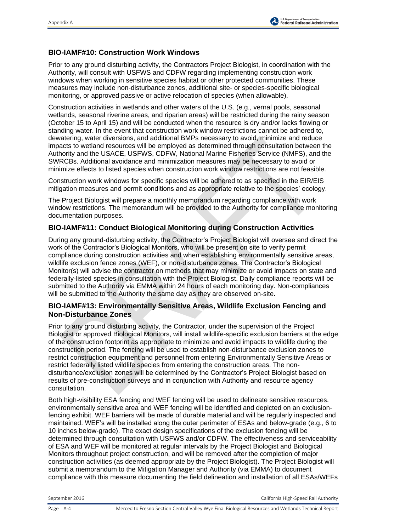## **BIO-IAMF#10: Construction Work Windows**

Prior to any ground disturbing activity, the Contractors Project Biologist, in coordination with the Authority, will consult with USFWS and CDFW regarding implementing construction work windows when working in sensitive species habitat or other protected communities. These measures may include non-disturbance zones, additional site- or species-specific biological monitoring, or approved passive or active relocation of species (when allowable).

Construction activities in wetlands and other waters of the U.S. (e.g., vernal pools, seasonal wetlands, seasonal riverine areas, and riparian areas) will be restricted during the rainy season (October 15 to April 15) and will be conducted when the resource is dry and/or lacks flowing or standing water. In the event that construction work window restrictions cannot be adhered to, dewatering, water diversions, and additional BMPs necessary to avoid, minimize and reduce impacts to wetland resources will be employed as determined through consultation between the Authority and the USACE, USFWS, CDFW, National Marine Fisheries Service (NMFS), and the SWRCBs. Additional avoidance and minimization measures may be necessary to avoid or minimize effects to listed species when construction work window restrictions are not feasible.

Construction work windows for specific species will be adhered to as specified in the EIR/EIS mitigation measures and permit conditions and as appropriate relative to the species' ecology.

The Project Biologist will prepare a monthly memorandum regarding compliance with work window restrictions. The memorandum will be provided to the Authority for compliance monitoring documentation purposes.

### **BIO-IAMF#11: Conduct Biological Monitoring during Construction Activities**

During any ground-disturbing activity, the Contractor's Project Biologist will oversee and direct the work of the Contractor's Biological Monitors, who will be present on site to verify permit compliance during construction activities and when establishing environmentally sensitive areas, wildlife exclusion fence zones (WEF), or non-disturbance zones. The Contractor's Biological Monitor(s) will advise the contractor on methods that may minimize or avoid impacts on state and federally-listed species in consultation with the Project Biologist. Daily compliance reports will be submitted to the Authority via EMMA within 24 hours of each monitoring day. Non-compliances will be submitted to the Authority the same day as they are observed on-site.

#### **BIO-IAMF#13: Environmentally Sensitive Areas, Wildlife Exclusion Fencing and Non-Disturbance Zones**

Prior to any ground disturbing activity, the Contractor, under the supervision of the Project Biologist or approved Biological Monitors, will install wildlife-specific exclusion barriers at the edge of the construction footprint as appropriate to minimize and avoid impacts to wildlife during the construction period. The fencing will be used to establish non-disturbance exclusion zones to restrict construction equipment and personnel from entering Environmentally Sensitive Areas or restrict federally listed wildlife species from entering the construction areas. The nondisturbance/exclusion zones will be determined by the Contractor's Project Biologist based on results of pre-construction surveys and in conjunction with Authority and resource agency consultation.

Both high-visibility ESA fencing and WEF fencing will be used to delineate sensitive resources. environmentally sensitive area and WEF fencing will be identified and depicted on an exclusionfencing exhibit. WEF barriers will be made of durable material and will be regularly inspected and maintained. WEF's will be installed along the outer perimeter of ESAs and below-grade (e.g., 6 to 10 inches below-grade). The exact design specifications of the exclusion fencing will be determined through consultation with USFWS and/or CDFW. The effectiveness and serviceability of ESA and WEF will be monitored at regular intervals by the Project Biologist and Biological Monitors throughout project construction, and will be removed after the completion of major construction activities (as deemed appropriate by the Project Biologist). The Project Biologist will submit a memorandum to the Mitigation Manager and Authority (via EMMA) to document compliance with this measure documenting the field delineation and installation of all ESAs/WEFs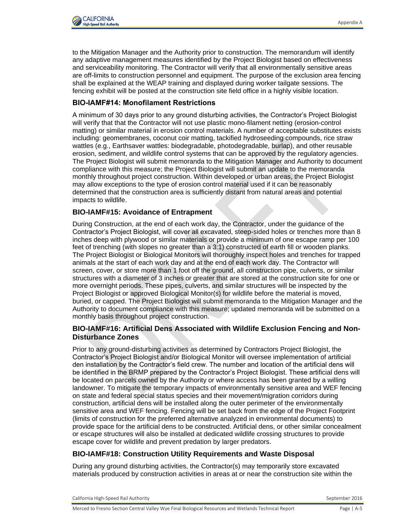

to the Mitigation Manager and the Authority prior to construction. The memorandum will identify any adaptive management measures identified by the Project Biologist based on effectiveness and serviceability monitoring. The Contractor will verify that all environmentally sensitive areas are off-limits to construction personnel and equipment. The purpose of the exclusion area fencing shall be explained at the WEAP training and displayed during worker tailgate sessions. The fencing exhibit will be posted at the construction site field office in a highly visible location.

#### **BIO-IAMF#14: Monofilament Restrictions**

A minimum of 30 days prior to any ground disturbing activities, the Contractor's Project Biologist will verify that that the Contractor will not use plastic mono-filament netting (erosion-control matting) or similar material in erosion control materials. A number of acceptable substitutes exists including: geomembranes, coconut coir matting, tackified hydroseeding compounds, rice straw wattles (e.g., Earthsaver wattles: biodegradable, photodegradable, burlap), and other reusable erosion, sediment, and wildlife control systems that can be approved by the regulatory agencies. The Project Biologist will submit memoranda to the Mitigation Manager and Authority to document compliance with this measure; the Project Biologist will submit an update to the memoranda monthly throughout project construction. Within developed or urban areas, the Project Biologist may allow exceptions to the type of erosion control material used if it can be reasonably determined that the construction area is sufficiently distant from natural areas and potential impacts to wildlife.

### **BIO-IAMF#15: Avoidance of Entrapment**

During Construction, at the end of each work day, the Contractor, under the guidance of the Contractor's Project Biologist, will cover all excavated, steep-sided holes or trenches more than 8 inches deep with plywood or similar materials or provide a minimum of one escape ramp per 100 feet of trenching (with slopes no greater than a 3:1) constructed of earth fill or wooden planks. The Project Biologist or Biological Monitors will thoroughly inspect holes and trenches for trapped animals at the start of each work day and at the end of each work day. The Contractor will screen, cover, or store more than 1 foot off the ground, all construction pipe, culverts, or similar structures with a diameter of 3 inches or greater that are stored at the construction site for one or more overnight periods. These pipes, culverts, and similar structures will be inspected by the Project Biologist or approved Biological Monitor(s) for wildlife before the material is moved, buried, or capped. The Project Biologist will submit memoranda to the Mitigation Manager and the Authority to document compliance with this measure; updated memoranda will be submitted on a monthly basis throughout project construction.

### **BIO-IAMF#16: Artificial Dens Associated with Wildlife Exclusion Fencing and Non-Disturbance Zones**

Prior to any ground-disturbing activities as determined by Contractors Project Biologist, the Contractor's Project Biologist and/or Biological Monitor will oversee implementation of artificial den installation by the Contractor's field crew. The number and location of the artificial dens will be identified in the BRMP prepared by the Contractor's Project Biologist. These artificial dens will be located on parcels owned by the Authority or where access has been granted by a willing landowner. To mitigate the temporary impacts of environmentally sensitive area and WEF fencing on state and federal special status species and their movement/migration corridors during construction, artificial dens will be installed along the outer perimeter of the environmentally sensitive area and WEF fencing. Fencing will be set back from the edge of the Project Footprint (limits of construction for the preferred alternative analyzed in environmental documents) to provide space for the artificial dens to be constructed. Artificial dens, or other similar concealment or escape structures will also be installed at dedicated wildlife crossing structures to provide escape cover for wildlife and prevent predation by larger predators.

#### **BIO-IAMF#18: Construction Utility Requirements and Waste Disposal**

During any ground disturbing activities, the Contractor(s) may temporarily store excavated materials produced by construction activities in areas at or near the construction site within the

California High-Speed Rail Authority September 2016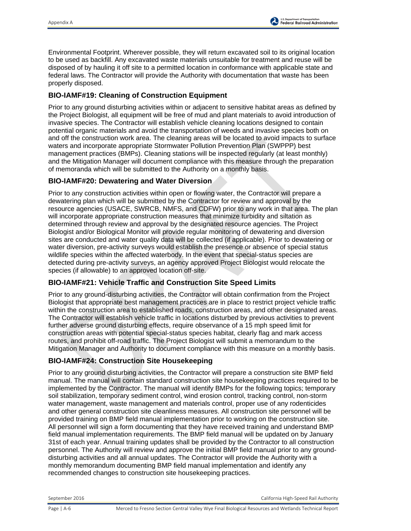Environmental Footprint. Wherever possible, they will return excavated soil to its original location to be used as backfill. Any excavated waste materials unsuitable for treatment and reuse will be disposed of by hauling it off site to a permitted location in conformance with applicable state and federal laws. The Contractor will provide the Authority with documentation that waste has been properly disposed.

## **BIO-IAMF#19: Cleaning of Construction Equipment**

Prior to any ground disturbing activities within or adjacent to sensitive habitat areas as defined by the Project Biologist, all equipment will be free of mud and plant materials to avoid introduction of invasive species. The Contractor will establish vehicle cleaning locations designed to contain potential organic materials and avoid the transportation of weeds and invasive species both on and off the construction work area. The cleaning areas will be located to avoid impacts to surface waters and incorporate appropriate Stormwater Pollution Prevention Plan (SWPPP) best management practices (BMPs). Cleaning stations will be inspected regularly (at least monthly) and the Mitigation Manager will document compliance with this measure through the preparation of memoranda which will be submitted to the Authority on a monthly basis.

## **BIO-IAMF#20: Dewatering and Water Diversion**

Prior to any construction activities within open or flowing water, the Contractor will prepare a dewatering plan which will be submitted by the Contractor for review and approval by the resource agencies (USACE, SWRCB, NMFS, and CDFW) prior to any work in that area. The plan will incorporate appropriate construction measures that minimize turbidity and siltation as determined through review and approval by the designated resource agencies. The Project Biologist and/or Biological Monitor will provide regular monitoring of dewatering and diversion sites are conducted and water quality data will be collected (if applicable). Prior to dewatering or water diversion, pre-activity surveys would establish the presence or absence of special status wildlife species within the affected waterbody. In the event that special-status species are detected during pre-activity surveys, an agency approved Project Biologist would relocate the species (if allowable) to an approved location off-site.

# **BIO-IAMF#21: Vehicle Traffic and Construction Site Speed Limits**

Prior to any ground-disturbing activities, the Contractor will obtain confirmation from the Project Biologist that appropriate best management practices are in place to restrict project vehicle traffic within the construction area to established roads, construction areas, and other designated areas. The Contractor will establish vehicle traffic in locations disturbed by previous activities to prevent further adverse ground disturbing effects, require observance of a 15 mph speed limit for construction areas with potential special-status species habitat, clearly flag and mark access routes, and prohibit off-road traffic. The Project Biologist will submit a memorandum to the Mitigation Manager and Authority to document compliance with this measure on a monthly basis.

## **BIO-IAMF#24: Construction Site Housekeeping**

Prior to any ground disturbing activities, the Contractor will prepare a construction site BMP field manual. The manual will contain standard construction site housekeeping practices required to be implemented by the Contractor. The manual will identify BMPs for the following topics; temporary soil stabilization, temporary sediment control, wind erosion control, tracking control, non-storm water management, waste management and materials control, proper use of any rodenticides and other general construction site cleanliness measures. All construction site personnel will be provided training on BMP field manual implementation prior to working on the construction site. All personnel will sign a form documenting that they have received training and understand BMP field manual implementation requirements. The BMP field manual will be updated on by January 31st of each year. Annual training updates shall be provided by the Contractor to all construction personnel. The Authority will review and approve the initial BMP field manual prior to any grounddisturbing activities and all annual updates. The Contractor will provide the Authority with a monthly memorandum documenting BMP field manual implementation and identify any recommended changes to construction site housekeeping practices.